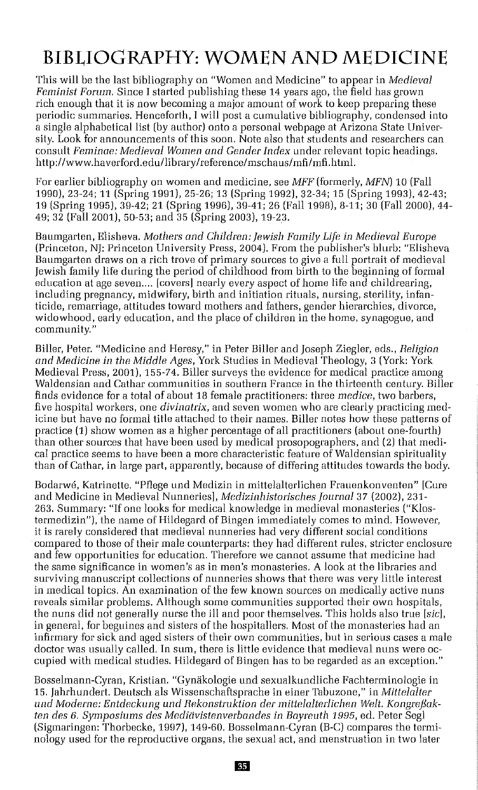## **BIBLIOGRAPHY: WOMEN AND MEDICINE**

This will be the last bibliography on "Women and Medicine" to appear in *Medieval Feminist Forum.* Since I started publishing these 14 years ago, the field has grown rich enough that it is now becoming a major amount of work to keep preparing these periodic summaries. Henceforth, I will post a cumulative bibliography, condensed into a single alphabetical list (by author) onto a personal webpage at Arizona State University. Look for announcements of this soon. Note also that students and researchers can consult *Feminae: Medieval Women and Gender Index* under relevant topic headings. http://www.haverford.edu/library/reference/mschaus/mfi/mfi.htm!.

For earlier bibliography on women and medicine, see *MFF* (formerly, *MFN)* 10 (Fall 1990),23-24; 11 (Spring 1991), 25-26; 13 (Spring 1992), 32-34; 15 (Spring 1993), 42-43; 19 (Spring 1995), 39-42; 21 (Spring 1996), 39-41; 26 (Fall 1998), 8-11; 30 (Fall 2000), 44- 49; 32 (Fall 2001), 50-53; and 35 (Spring 2003), 19-23.

Baumgarten, Elisheva. *Mothers and Children: Jewish Family Life in Medieval Europe* (Princeton, NJ: Princeton University Press, 2004). From the publisher's blurb: "Elisheva Baumgarten draws on a rich trove of primary sources to give a full portrait of medieval Jewish family life during the period of childhood from birth to the beginning of formal education at age seven.... [covers] nearly every aspect of home life and childrearing, including pregnancy, midwifery, birth and initiation rituals, nursing, sterility, infanticide, remarriage, attitudes toward mothers and fathers, gender hierarchies, divorce, widowhood, early education, and the place of children in the home, synagogue, and community. "

Biller, Peter. "Medicine and Heresy," in Peter Biller and Joseph Ziegler, eds., *Religion and Medicine in the Middle Ages,* York Studies in Medieval Theology, 3 (York: York Medieval Press, 2001), 155-74. Biller surveys the evidence for medical practice among Waldensian and Cathar communities in southern France in the thirteenth century. Biller finds evidence for a total of about 18 female practitioners: three *medice,* two barbers, five hospital workers, one *diviuatrix,* and seven women who are clearly practicing medicine but have no formal title attached to their names. Biller notes how these patterns of practice (1) show women as a higher percentage of all practitioners (about one-fourth) than other sources that have been used by medical prosopographers, and (2) that medical practice seems to have been a more characteristic feature of Waldensian spirituality than of Cathar, in large part, apparently, because of differing attitudes towards the body.

Bodarwe, Katrinette. "Pt1ege und Medizin in mittelalterlichen Frauenkonventen" [Cure and Medicine in Medieval Nunneries], *Medizinhistorisches [ournal* 37 (2002), 231- 263. Summary: "If one looks for medical knowledge in medieval monasteries ("Klostermedizin"J, the name of Hildegard of Bingen immediately comes to mind. However, it is rarely considered that medieval nunneries had very different social conditions compared to those of their male counterparts: they had different rules, stricter enclosure and few opportunities for education. Therefore we cannot assume that medicine had the same significance in women's as in men's monasteries. A look at the libraries and surviving manuscript collections of nunneries shows that there was very little interest in medical topics. An examination of the few known sources on medically active nuns reveals similar problems. Although some communities supported their own hospitals, the nuns did not generally nurse the ill and poor themselves. This holds also true *[sic],* in general, for beguines and sisters of the hospitallers. Most of the monasteries had an infirmary for sick and aged sisters of their own communities, but in serious cases a male doctor was usually called. In sum, there is little evidence that medieval nuns were occupied with medical studies. Hildegard of Bingen has to be regarded as an exception."

Bosselmann-Cyran, Kristian, "Gynäkologie und sexualkundliche Fachterminologie in 15. Iahrhundert, Deutsch als Wissenschaftsprache in einer Tabuzone," in *Mittelalter iuul Moderne: Entdeckung und Rekonstruktion der mittelalterlichen Welt. Kongrejsakten des* 6. *Symposiums des Medidvistenverbandes in Bayreuth* 1995, ed. Peter Segl (Sigmaringen: Thorbecke, 1997), 149-60. Bossolmann-Cyran (B-C) compares the terminology used for the reproductive organs, the sexual act, and menstruation in two later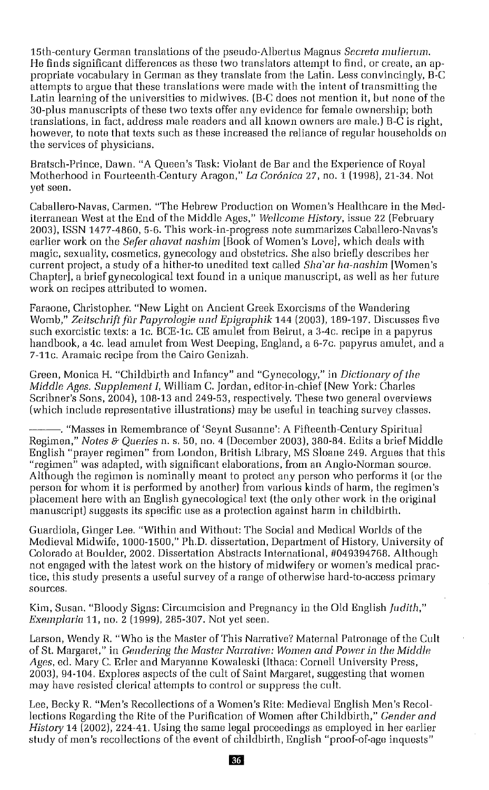15th-century German translations of the pseudo-Albertus Magnus *Secreta mulierum.* He finds significant differences as these two translators attempt to find, or create, an appropriate vocabulary in German as they translate from the Latin. Less convincingly, B-C attempts to argue that these translations were made with the intent of transmitting the Latin learning of the universities to midwives. (B-C does not mention it, but none of the 30-plus manuscripts of these two texts offer any evidence for female ownership; both translations, in fact, address male readers and all known owners are male.) B-C is right, however, to note that texts such as these increased the reliance of regular households on the services of physicians.

Bratsch-Prince. Dawn. "A Queen's Task: Violant de Bar and the Experience of Royal Motherhood in Fourteenth-Century Aragon," La Corónica 27, no. 1 (1998), 21-34. Not yet seen.

Caballero-Navas, Carmen. "The Hebrew Production on Women's Healthcare in the Mediterranean West at the End of the Middle Ages," *Wellcome History,* issue 22 (February 2003). ISSN 1477-4860, 5-6. This work-in-progress note summarizes Caballero-Navas's earlier work on the *Seie: ahavat nashim* [Book of Women's Love], which deals with magic, sexuality, cosmetics, gynecology and obstetrics. She also briefly describes her current project, a study of a hither-to unedited text called *Sluiar ha-nashim* [Women's Chapter], a brief gynecological text found in a unique manuscript, as well as her future work on recipes attributed to women.

Faraone, Christopher. "New Light on Ancient Greek Exorcisms of the Wandering Womb," *Zeitschriftfiir Papyrologie lind Epigraphik* 144 (2003). 189-197. Discusses five such exorcistic texts: a lc. BCE-lc. CE amulet from Beirut, a 3-4c. recipe in a papyrus handbook, a 4c. lead amulet from West Deeping, England, a 6-7c. papyrus amulet, and a 7-11c. Aramaic recipe from the Cairo Genizah.

Green, Monica H. "Childbirth and Infancy" and "Gynecology," in *Dictionary of the Middle Ages. Supplement* I, William C. Jordan, editor-in-chief (New York: Charles Scribner's Sons, 2004). 108-13 and 249-53, respectively. These two general overviews (which include representative illustrations) may be useful in teaching survey classes.

---. "Masses in Remembrance of 'Seynt Susanne': <sup>A</sup> Fifteenth-Century Spiritual Regimen," *Notes* &'*Queries* n. s. 50, no. 4 (December 2003). 380-84. Edits a brief Middle English "prayer regimen" from London, British Library, MS Sloane 249. Argues that this "regimen" was adapted, with significant elaborations, from an Anglo-Norman source. Although the regimen is nominally meant to protect any person who performs it (or the person for whom it is performed by another) from various kinds of harm, the regimen's placement here with an English gynecological text (the only other work in the original manuscript) suggests its specific use as a protection against harm in childbirth.

Guardiola, Ginger Lee. "Within and Without: The Social and Medical Worlds of the Medieval Midwife, 1000-1500," Ph.D. dissertation, Department of History, University of Colorado at Boulder, 2002. Dissertation Abstracts International, #049394768. Although not engaged with the latest work on the history of midwifery or women's medical practice, this study presents a useful survey of a range of otherwise hard-to-access primary sources.

Kim, Susan. "Bloody Signs: Circumcision and Pregnancy in the Old English *Judith," Exemplaria* 11, no. 2 (1999). 285-307. Not yet seen.

Larson, Wendy R. "Who is the Master of This Narrative? Maternal Patronage of the Cult of St. Margaret," in *Cendering the Mastel' Narrative: Women and Power in the Middle Ages,* ed. Mary C. Erler and Maryanne Kowaleski (Ithaca: Cornell University Press, 2003), 94-104. Explores aspects of the cult of Saint Margaret, suggesting that women may have resisted clerical attempts to control or suppress the cult.

Lee, Becky R. "Men's Recollections of a Women's Rite: Medieval English Men's Recollections Regarding the Rite of the Purification of Women after Childbirth," *Gender and History* 14 (2002). 224-41. Using the same legal proceedings as employed in her earlier study of men's recollections of the event of childbirth, English "proof-of-age inquests"

36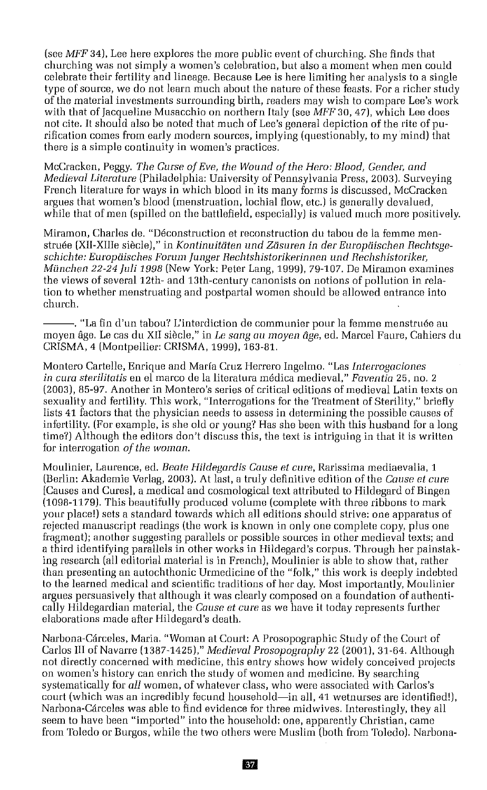(see *MFF* 34), Lee here explores the more public event of churching. She finds that churching was not simply a women's celebration, but also a moment when men could celebrate their fertility and lineage. Because Lee is here limiting her analysis to a single type of source, we do not learn much about the nature of these feasts. For a richer study of the material investments surrounding birth, readers may wish to compare Lee's work with that of Jacqueline Musacchio on northern Italy (see *MFF* 30,47), which Lee does not cite. It should also be noted that much of Lee's general depiction of the rite of purification comes from early modern sources, implying (questionably, to my mind) that there is a simple continuity in women's practices.

McCracken, Peggy. *The Curse ofEve, the WOllnd of the Hero: Blood, Geuder, and Medieval Literature* (Philadelphia: University of Pennsylvania Press, 2003). Surveying French literature for ways in which blood in its many forms is discussed, McCracken argues that women's blood (menstruation, lochial flow, etc.) is generally devalued, while that of men (spilled on the battlefield, especially) is valued much more positively.

Mlramon, Charles de. "Deconstruction et reconstruction du tabou de la femme menstruee (XII-XlIIe sieclel," in *Kontinuitiiten lInd Ztisnren in del' Europiiischen Rechtsgeschichte: Europtiiscties Fortini flInger Rechtshistorikerinnen utul Heclishietotiker, Miuicheti* 22-24 *[uli* 1998 (New York: Peter Lang, 1999), 79-107. *De* Miramon examines the views of several 12th- and 13th-century canonists on notions of pollution in relation to whether menstruating and postpartal women should be allowed entrance into church.

---. "La fin d'un tabou? L'interdiction de communier pour la femme menstruee au moyen age. Le cas du XII siecle," in *Le sang* all *moyen age,* ed. Marcel Faure, Cahiers du CRISMA,4 (Montpellier: CRISMA, 1999), 163-81.

Montero Cartelle, Enrique and Maria Cruz Herrero Ingelmo. "Las *Interrogaciones in cure stetilitatis* en el marco de la literatura medica medieval," *Faventia* 25, no. 2 (2003),85-97. Another in Montero's series of critical editions of medieval Latin texts on sexuality and fertility. This work, "Interrogations for the Treatment of Sterility," briefly lists 41 factors that the physician needs to assess in determining the possible causes of infertility. (For example, is she old or young'! Has she been with this husband for a long time?) Although the editors don't discuss this, the text is intriguing in that it is written for interrogation *of the woman.*

Moulinier, Laurence, ed. *Beate Hildegardis Cause et cure,* Rarissima mediaevalia, 1 (Berlin: Akadernie Verlag, 2003). At last, a truly definitive edition of the Couse *et* cure [Causes and Cures], a medical and cosmological text attributed to Hildegard of Bingen (1098-1179). This beautifully produced volume (complete with three ribbons to mark your place!) sets a standard towards which all editions should strive: one apparatus of rejected manuscript readings (the work is known in only one complete copy, plus one fragment); another suggesting parallels or possible sources in other medieval texts; and a third identifying parallels in other works in Hildegard's corpus. Through her painstaking research (all editorial material is in French), Moulinier is able to show that, rather than presenting an autochthonic Urmedicine of the "folk," this work is deeply indebted to the learned medical and scientific traditions of her day. Most importantly, Moulinier argues persuasively that although it was clearly composed on a foundation of authentically Hildegardian material, the *Couse et* Cllreas we have it today represents further elaborations made after Hildegard's death.

Narbona-Carceles, Maria. "Woman at Court: A Prosopographic Study of the Court of Carlos III of Navarre (1387-1425)," *Medieval Prosopograpliy* 22 (2001), 31-64. Although not directly concerned with medicine, this entry shows how widely conceived projects on women's history can enrich the study of women and medicine. By searching systematically for *all* women, of whatever class, who were associated with Carlos's court (which was an incredibly fecund household-in all, 41 wetnurses are identified!), Narbona-Cárceles was able to find evidence for three midwives. Interestingly, they all seem to have been "imported" into the household: one, apparently Christian, came from Toledo or Burgos, while the two others were Muslim (both from Toledo). Narbona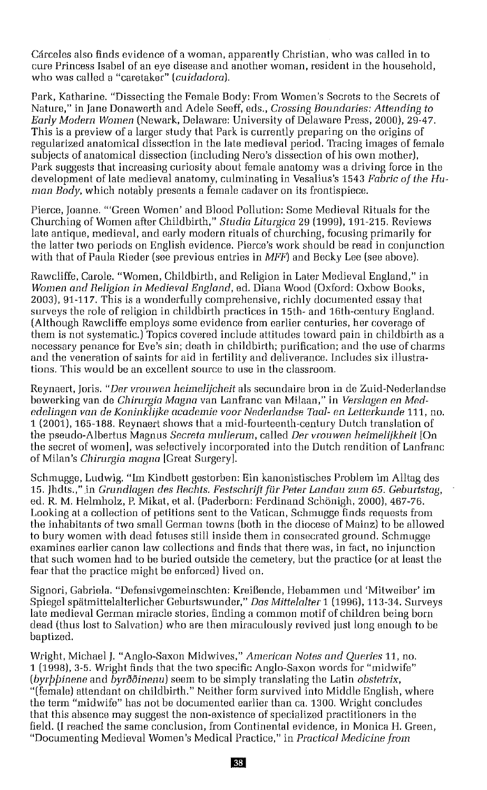Carceles also finds evidence of a woman, apparently Christian, who was called in to cure Princess Isabel of an eye disease and another woman, resident in the household, who was called a "caretaker" *(cuidadora).*

Park, Katharine. "Dissecting the Female Body: From Women's Secrets to the Secrets of Nature," in Jane Donawerth and Adele Seeff, eds., *Crossing Boundaries: Attending to Early Modern Women* (Newark, Delaware: University of Delaware Press, 2000), 29-47. This is a preview of a larger study that Park is currently preparing on the origins of regularized anatomical dissection in the late medieval period. Tracing images of female subjects of anatomical dissection (including Nero's dissection of his own mother), Park suggests that increasing curiosity about female anatomy was a driving force in the development of late medieval anatomy, culminating in Vesalius's 1543 *Fabric of the Human Body,* which notably presents a female cadaver on its frontispiece.

Pierce, Joanne. "'Green Women' and Blood Pollution: Some Medieval Rituals for the Churching of Women after Childbirth," *Studio Litutgico* 29 (1999), 191-215. Reviews late antique, medieval, and early modern rituals of churching, focusing primarily for the latter two periods on English evidence. Pierce's work should be read in conjunction with that of Paula Rieder (see previous entries in *MFF)* and Becky Lee (see above).

Rawcliffe, Carole. "Women, Childbirth, and Religion in Later Medieval England," in *Women and Religion in Medieval England,* ed. Diana Wood (Oxford: Oxbow Books, 2003), 91-117. This is a wonderfully comprehensive, richly documented essay that surveys the role of religion in childbirth practices in 15th- and 16th-century England. (Although Rawcliffe employs some evidence from earlier centuries, her coverage of them is not systematic.) Topics covered include attitudes toward pain in childbirth as a necessary penance for Eve's sin; death in childbirth; purification; and the use of charms and the veneration of saints for aid in fertility and deliverance. Includes six illustrations. This would be an excellent source to use in the classroom.

Reynaert, [oris, *"Del' vronwen beimeliicheit* als secundaire bron in de Zuid-Nederlandse bewerking *van* de *Chinugia Magna* van Lanfranc *van* Milaan," in *Verslagen en Mededelingeii van de Koniiikliike academie voor Nederlandse Taol- en Letterknnde* 111, no. 1 (2001), 165-188. Reynaert shows that a mid-fourteenth-century Dutch translation of the pseudo-Albertus Magnus *Secreta tnulietutn,* called *Del' vrouwen heitneliiklieit* [On the secret of women], was selectively incorporated into the Dutch rendition of Lanfranc of Milan's *Chinugia magna* [Great Surgery].

Schmugge, Ludwig. "Im Kindbett gestorben: Ein kanonistisches Problem im Alltag des 15. [hdts.," .in *Gmndlagen des* Hechts. *Festschrift fur Peter Landau* zum 65. *Ceburtstag,* ed. R. M. Helmholz, P. Mikat, et al. (Paderborn: Ferdinand Schönigh, 2000), 467-76. Looking at a collection of petitions sent to the Vatican, Schmugge finds requests from the inhabitants of two small German towns (both in the diocese of Mainz) to be allowed to bury women with dead fetuses still inside them in consecrated ground. Schmugge examines earlier canon law collections and finds that there was, in fact, no injunction that such women had to be buried outside the cemetery, but the practice (or at least the fear that the practice might be enforced) lived on.

Signori, Gabriela. "Defensivgemeinschten: Kreißende, Hebammen und 'Mitweiber' im Spiegel spatmlttelalterlicher Geburtswunder," *Das Mitielalter* 1 (1996), 113-34. Surveys late medieval German miracle stories, finding a common motif of children being born dead (thus lost to Salvation) who are then miraculously *revived* just long enough to be baptized.

Wright, Michael J. "Anglo-Saxon Midwives," *American Notes and Queries* 11, no. 1 (1998), 3-5. Wright finds that the two specific Anglo-Saxon words for "midwife" *(byrppinene* and *byroning byroning seem to be simply translating the Latin <i>obstetrix*, "(female) attendant on childbirth." Neither form *survived* into Middle English, where the term "midwife" has not be documented earlier than ca. 1300. Wright concludes that this absence may suggest the non-existence of specialized practitioners in the field. (I reached the same conclusion, from Continental evidence, in Monica H. Green, "Documenting Medieval Women's Medical Practice," in *Practical Medicine from*